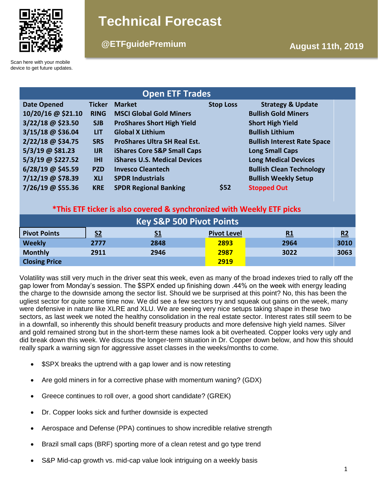

# **Technical Forecast**

# **@ETFguidePremium August 11th, 2019**

Scan here with your mobile device to get future updates.

| <b>Open ETF Trades</b> |               |                                     |                  |                                    |  |  |  |  |
|------------------------|---------------|-------------------------------------|------------------|------------------------------------|--|--|--|--|
| <b>Date Opened</b>     | <b>Ticker</b> | <b>Market</b>                       | <b>Stop Loss</b> | <b>Strategy &amp; Update</b>       |  |  |  |  |
| 10/20/16 @ \$21.10     | <b>RING</b>   | <b>MSCI Global Gold Miners</b>      |                  | <b>Bullish Gold Miners</b>         |  |  |  |  |
| 3/22/18 @ \$23.50      | <b>SJB</b>    | <b>ProShares Short High Yield</b>   |                  | <b>Short High Yield</b>            |  |  |  |  |
| 3/15/18 @ \$36.04      | <b>LIT</b>    | <b>Global X Lithium</b>             |                  | <b>Bullish Lithium</b>             |  |  |  |  |
| 2/22/18 @ \$34.75      | <b>SRS</b>    | <b>ProShares Ultra SH Real Est.</b> |                  | <b>Bullish Interest Rate Space</b> |  |  |  |  |
| 5/3/19 @ \$81.23       | <b>IJR</b>    | iShares Core S&P Small Caps         |                  | <b>Long Small Caps</b>             |  |  |  |  |
| 5/3/19 @ \$227.52      | <b>IHI</b>    | <b>iShares U.S. Medical Devices</b> |                  | <b>Long Medical Devices</b>        |  |  |  |  |
| 6/28/19 @ \$45.59      | <b>PZD</b>    | <b>Invesco Cleantech</b>            |                  | <b>Bullish Clean Technology</b>    |  |  |  |  |
| 7/12/19 @ \$78.39      | <b>XLI</b>    | <b>SPDR Industrials</b>             |                  | <b>Bullish Weekly Setup</b>        |  |  |  |  |
| 7/26/19 @ \$55.36      | <b>KRE</b>    | <b>SPDR Regional Banking</b>        | \$52             | <b>Stopped Out</b>                 |  |  |  |  |

# **\*This ETF ticker is also covered & synchronized with Weekly ETF picks**

| <b>Key S&amp;P 500 Pivot Points</b> |                |                |                    |           |      |  |  |  |
|-------------------------------------|----------------|----------------|--------------------|-----------|------|--|--|--|
| <b>Pivot Points</b>                 | S <sub>2</sub> | S <sub>1</sub> | <b>Pivot Level</b> | <u>R1</u> | R2   |  |  |  |
| <b>Weekly</b>                       | 2777           | 2848           | 2893               | 2964      | 3010 |  |  |  |
| <b>Monthly</b>                      | 2911           | 2946           | 2987               | 3022      | 3063 |  |  |  |
| <b>Closing Price</b>                |                |                | 2919               |           |      |  |  |  |

Volatility was still very much in the driver seat this week, even as many of the broad indexes tried to rally off the gap lower from Monday's session. The \$SPX ended up finishing down .44% on the week with energy leading the charge to the downside among the sector list. Should we be surprised at this point? No, this has been the ugliest sector for quite some time now. We did see a few sectors try and squeak out gains on the week, many were defensive in nature like XLRE and XLU. We are seeing very nice setups taking shape in these two sectors, as last week we noted the healthy consolidation in the real estate sector. Interest rates still seem to be in a downfall, so inherently this should benefit treasury products and more defensive high yield names. Silver and gold remained strong but in the short-term these names look a bit overheated. Copper looks very ugly and did break down this week. We discuss the longer-term situation in Dr. Copper down below, and how this should really spark a warning sign for aggressive asset classes in the weeks/months to come.

- \$SPX breaks the uptrend with a gap lower and is now retesting
- Are gold miners in for a corrective phase with momentum waning? (GDX)
- Greece continues to roll over, a good short candidate? (GREK)
- Dr. Copper looks sick and further downside is expected
- Aerospace and Defense (PPA) continues to show incredible relative strength
- Brazil small caps (BRF) sporting more of a clean retest and go type trend
- S&P Mid-cap growth vs. mid-cap value look intriguing on a weekly basis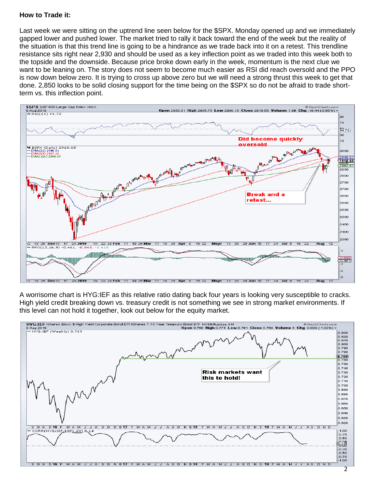#### **How to Trade it:**

Last week we were sitting on the uptrend line seen below for the \$SPX. Monday opened up and we immediately gapped lower and pushed lower. The market tried to rally it back toward the end of the week but the reality of the situation is that this trend line is going to be a hindrance as we trade back into it on a retest. This trendline resistance sits right near 2,930 and should be used as a key inflection point as we traded into this week both to the topside and the downside. Because price broke down early in the week, momentum is the next clue we want to be leaning on. The story does not seem to become much easier as RSI did reach oversold and the PPO is now down below zero. It is trying to cross up above zero but we will need a strong thrust this week to get that done. 2,850 looks to be solid closing support for the time being on the \$SPX so do not be afraid to trade shortterm vs. this inflection point.



A worrisome chart is HYG:IEF as this relative ratio dating back four years is looking very susceptible to cracks. High yield credit breaking down vs. treasury credit is not something we see in strong market environments. If this level can not hold it together, look out below for the equity market.

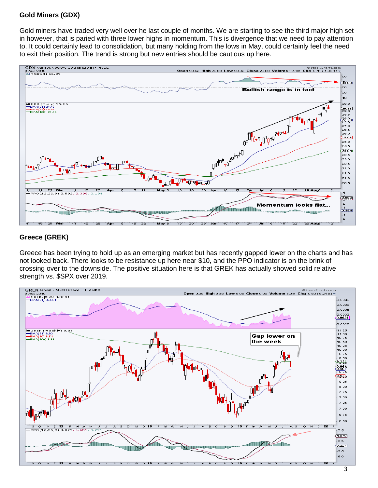#### **Gold Miners (GDX)**

Gold miners have traded very well over he last couple of months. We are starting to see the third major high set in however, that is paried with three lower highs in momentum. This is divergence that we need to pay attention to. It could certainly lead to consolidation, but many holding from the lows in May, could certainly feel the need to exit their position. The trend is strong but new entries should be cautious up here.



#### **Greece (GREK)**

Greece has been trying to hold up as an emerging market but has recently gapped lower on the charts and has not looked back. There looks to be resistance up here near \$10, and the PPO indicator is on the brink of crossing over to the downside. The positive situation here is that GREK has actually showed solid relative strength vs. \$SPX over 2019.

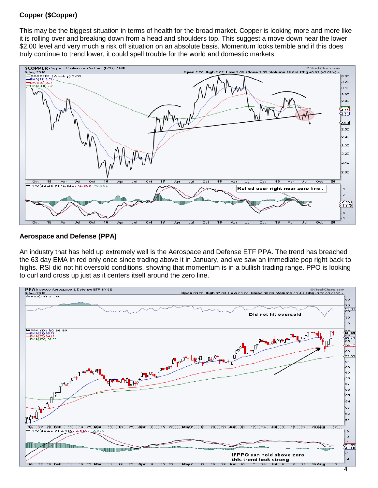# **Copper (\$Copper)**

This may be the biggest situation in terms of health for the broad market. Copper is looking more and more like it is rolling over and breaking down from a head and shoulders top. This suggest a move down near the lower \$2.00 level and very much a risk off situation on an absolute basis. Momentum looks terrible and if this does truly continue to trend lower, it could spell trouble for the world and domestic markets.



#### **Aerospace and Defense (PPA)**

An industry that has held up extremely well is the Aerospace and Defense ETF PPA. The trend has breached the 63 day EMA in red only once since trading above it in January, and we saw an immediate pop right back to highs. RSI did not hit oversold conditions, showing that momentum is in a bullish trading range. PPO is looking to curl and cross up just as it centers itself around the zero line.

![](_page_3_Figure_5.jpeg)